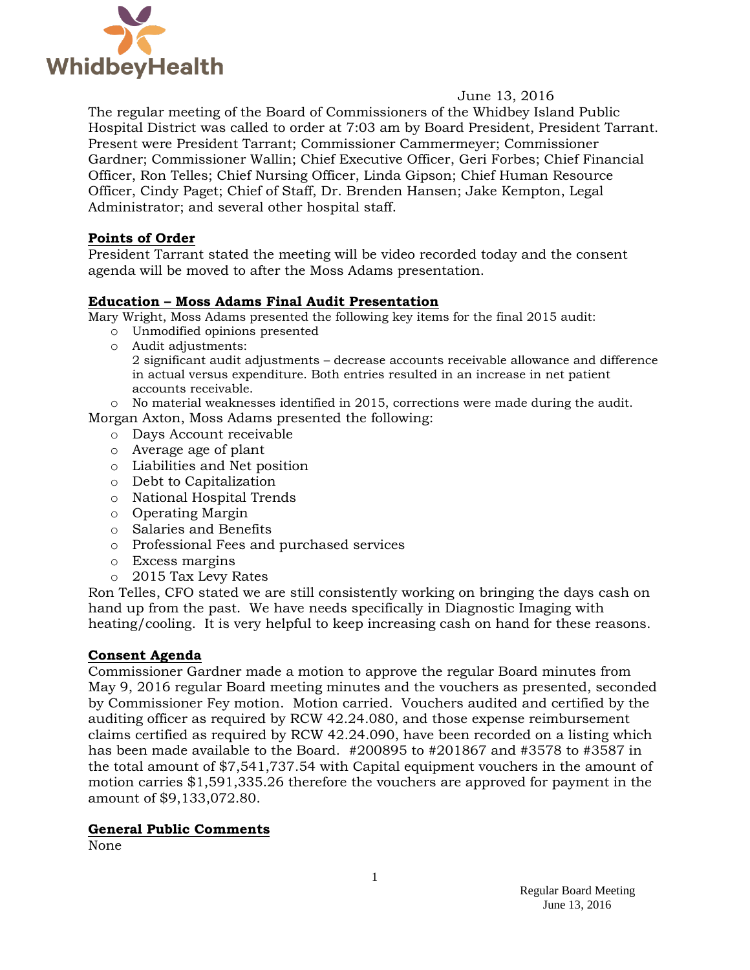

### June 13, 2016

The regular meeting of the Board of Commissioners of the Whidbey Island Public Hospital District was called to order at 7:03 am by Board President, President Tarrant. Present were President Tarrant; Commissioner Cammermeyer; Commissioner Gardner; Commissioner Wallin; Chief Executive Officer, Geri Forbes; Chief Financial Officer, Ron Telles; Chief Nursing Officer, Linda Gipson; Chief Human Resource Officer, Cindy Paget; Chief of Staff, Dr. Brenden Hansen; Jake Kempton, Legal Administrator; and several other hospital staff.

### **Points of Order**

President Tarrant stated the meeting will be video recorded today and the consent agenda will be moved to after the Moss Adams presentation.

### **Education – Moss Adams Final Audit Presentation**

Mary Wright, Moss Adams presented the following key items for the final 2015 audit:

- o Unmodified opinions presented
- o Audit adjustments: 2 significant audit adjustments – decrease accounts receivable allowance and difference in actual versus expenditure. Both entries resulted in an increase in net patient accounts receivable.

o No material weaknesses identified in 2015, corrections were made during the audit.

- Morgan Axton, Moss Adams presented the following:
	- o Days Account receivable
	- o Average age of plant
	- o Liabilities and Net position
	- o Debt to Capitalization
	- o National Hospital Trends
	- o Operating Margin
	- o Salaries and Benefits
	- o Professional Fees and purchased services
	- o Excess margins
	- o 2015 Tax Levy Rates

Ron Telles, CFO stated we are still consistently working on bringing the days cash on hand up from the past. We have needs specifically in Diagnostic Imaging with heating/cooling. It is very helpful to keep increasing cash on hand for these reasons.

#### **Consent Agenda**

Commissioner Gardner made a motion to approve the regular Board minutes from May 9, 2016 regular Board meeting minutes and the vouchers as presented, seconded by Commissioner Fey motion. Motion carried. Vouchers audited and certified by the auditing officer as required by RCW 42.24.080, and those expense reimbursement claims certified as required by RCW 42.24.090, have been recorded on a listing which has been made available to the Board. #200895 to #201867 and #3578 to #3587 in the total amount of \$7,541,737.54 with Capital equipment vouchers in the amount of motion carries \$1,591,335.26 therefore the vouchers are approved for payment in the amount of \$9,133,072.80.

#### **General Public Comments**

None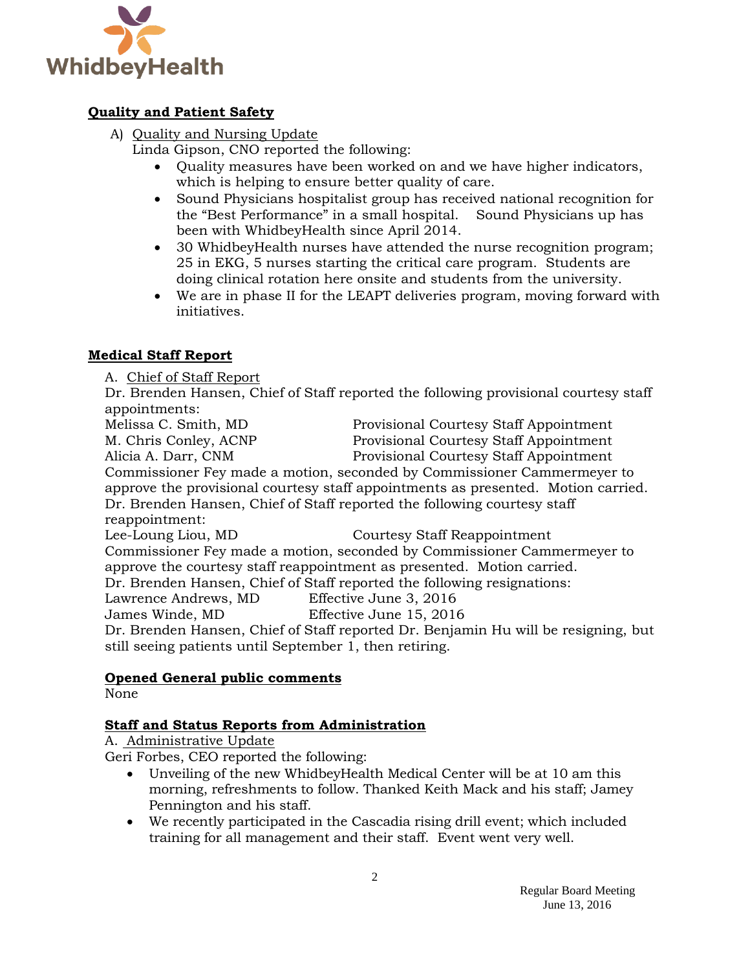

# **Quality and Patient Safety**

A) Quality and Nursing Update

Linda Gipson, CNO reported the following:

- Ouality measures have been worked on and we have higher indicators, which is helping to ensure better quality of care.
- Sound Physicians hospitalist group has received national recognition for the "Best Performance" in a small hospital. Sound Physicians up has been with WhidbeyHealth since April 2014.
- 30 WhidbeyHealth nurses have attended the nurse recognition program; 25 in EKG, 5 nurses starting the critical care program. Students are doing clinical rotation here onsite and students from the university.
- We are in phase II for the LEAPT deliveries program, moving forward with initiatives.

## **Medical Staff Report**

A. Chief of Staff Report

Dr. Brenden Hansen, Chief of Staff reported the following provisional courtesy staff appointments:

Melissa C. Smith, MD Provisional Courtesy Staff Appointment M. Chris Conley, ACNP Provisional Courtesy Staff Appointment Alicia A. Darr, CNM Provisional Courtesy Staff Appointment

Commissioner Fey made a motion, seconded by Commissioner Cammermeyer to approve the provisional courtesy staff appointments as presented. Motion carried. Dr. Brenden Hansen, Chief of Staff reported the following courtesy staff reappointment:

Lee-Loung Liou, MD Courtesy Staff Reappointment Commissioner Fey made a motion, seconded by Commissioner Cammermeyer to approve the courtesy staff reappointment as presented. Motion carried. Dr. Brenden Hansen, Chief of Staff reported the following resignations:

Lawrence Andrews, MD Effective June 3, 2016

James Winde, MD Effective June 15, 2016

Dr. Brenden Hansen, Chief of Staff reported Dr. Benjamin Hu will be resigning, but still seeing patients until September 1, then retiring.

## **Opened General public comments**

None

# **Staff and Status Reports from Administration**

A. Administrative Update

Geri Forbes, CEO reported the following:

- Unveiling of the new WhidbeyHealth Medical Center will be at 10 am this morning, refreshments to follow. Thanked Keith Mack and his staff; Jamey Pennington and his staff.
- We recently participated in the Cascadia rising drill event; which included training for all management and their staff. Event went very well.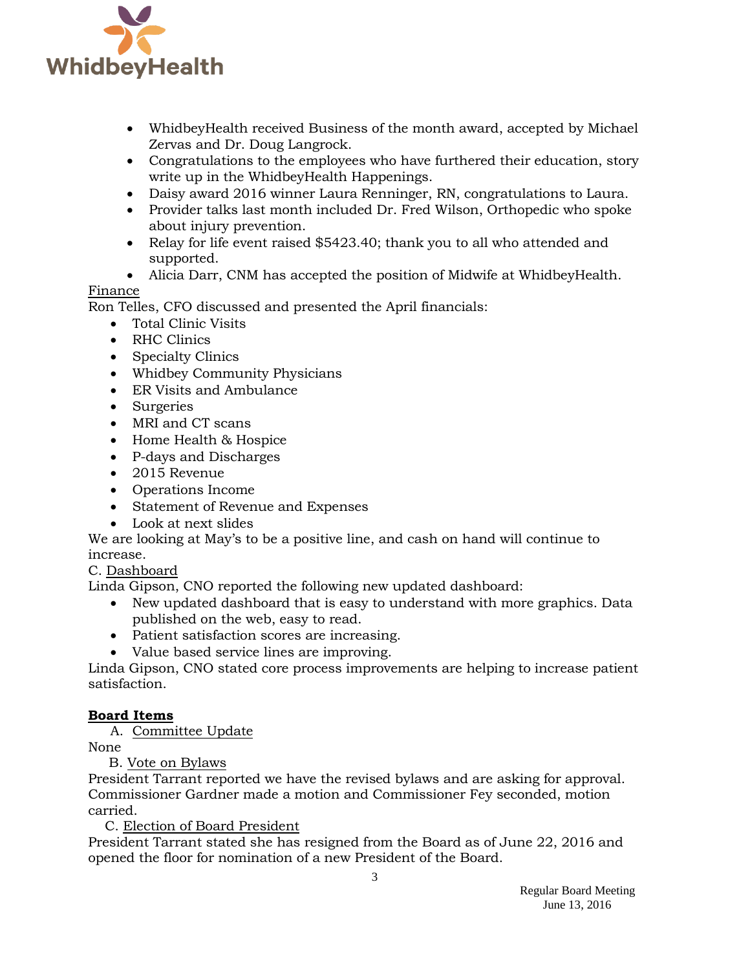

- WhidbeyHealth received Business of the month award, accepted by Michael Zervas and Dr. Doug Langrock.
- Congratulations to the employees who have furthered their education, story write up in the WhidbeyHealth Happenings.
- Daisy award 2016 winner Laura Renninger, RN, congratulations to Laura.
- Provider talks last month included Dr. Fred Wilson, Orthopedic who spoke about injury prevention.
- Relay for life event raised \$5423.40; thank you to all who attended and supported.
- Alicia Darr, CNM has accepted the position of Midwife at WhidbeyHealth.

### Finance

Ron Telles, CFO discussed and presented the April financials:

- Total Clinic Visits
- RHC Clinics
- Specialty Clinics
- Whidbey Community Physicians
- ER Visits and Ambulance
- Surgeries
- MRI and CT scans
- Home Health & Hospice
- P-days and Discharges
- 2015 Revenue
- Operations Income
- Statement of Revenue and Expenses
- Look at next slides

We are looking at May's to be a positive line, and cash on hand will continue to increase.

### C. Dashboard

Linda Gipson, CNO reported the following new updated dashboard:

- New updated dashboard that is easy to understand with more graphics. Data published on the web, easy to read.
- Patient satisfaction scores are increasing.
- Value based service lines are improving.

Linda Gipson, CNO stated core process improvements are helping to increase patient satisfaction.

### **Board Items**

A. Committee Update

None

B. Vote on Bylaws

President Tarrant reported we have the revised bylaws and are asking for approval. Commissioner Gardner made a motion and Commissioner Fey seconded, motion carried.

C. Election of Board President

President Tarrant stated she has resigned from the Board as of June 22, 2016 and opened the floor for nomination of a new President of the Board.